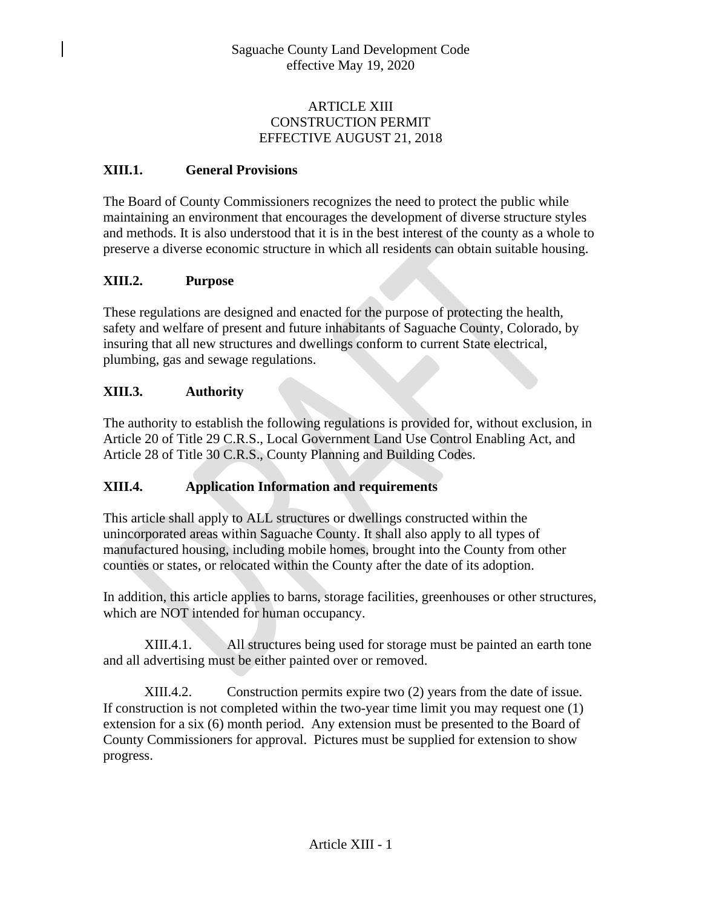## ARTICLE XIII CONSTRUCTION PERMIT EFFECTIVE AUGUST 21, 2018

## **XIII.1. General Provisions**

The Board of County Commissioners recognizes the need to protect the public while maintaining an environment that encourages the development of diverse structure styles and methods. It is also understood that it is in the best interest of the county as a whole to preserve a diverse economic structure in which all residents can obtain suitable housing.

## **XIII.2. Purpose**

These regulations are designed and enacted for the purpose of protecting the health, safety and welfare of present and future inhabitants of Saguache County, Colorado, by insuring that all new structures and dwellings conform to current State electrical, plumbing, gas and sewage regulations.

## **XIII.3. Authority**

The authority to establish the following regulations is provided for, without exclusion, in Article 20 of Title 29 C.R.S., Local Government Land Use Control Enabling Act, and Article 28 of Title 30 C.R.S., County Planning and Building Codes.

## **XIII.4. Application Information and requirements**

This article shall apply to ALL structures or dwellings constructed within the unincorporated areas within Saguache County. It shall also apply to all types of manufactured housing, including mobile homes, brought into the County from other counties or states, or relocated within the County after the date of its adoption.

In addition, this article applies to barns, storage facilities, greenhouses or other structures, which are NOT intended for human occupancy.

XIII.4.1. All structures being used for storage must be painted an earth tone and all advertising must be either painted over or removed.

XIII.4.2. Construction permits expire two (2) years from the date of issue. If construction is not completed within the two-year time limit you may request one (1) extension for a six (6) month period. Any extension must be presented to the Board of County Commissioners for approval. Pictures must be supplied for extension to show progress.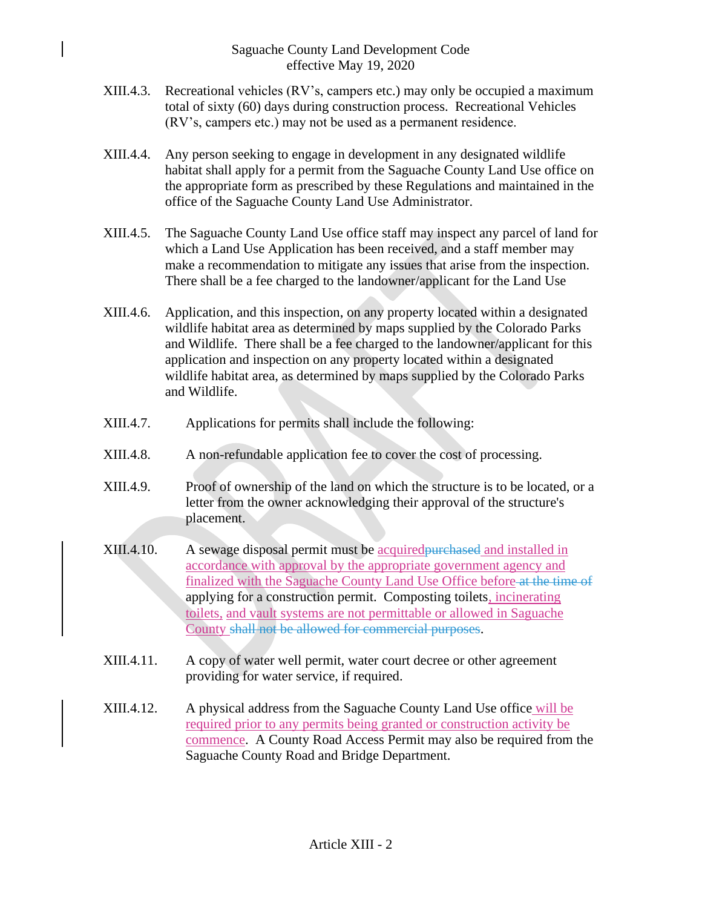- XIII.4.3. Recreational vehicles (RV's, campers etc.) may only be occupied a maximum total of sixty (60) days during construction process. Recreational Vehicles (RV's, campers etc.) may not be used as a permanent residence.
- XIII.4.4. Any person seeking to engage in development in any designated wildlife habitat shall apply for a permit from the Saguache County Land Use office on the appropriate form as prescribed by these Regulations and maintained in the office of the Saguache County Land Use Administrator.
- XIII.4.5. The Saguache County Land Use office staff may inspect any parcel of land for which a Land Use Application has been received, and a staff member may make a recommendation to mitigate any issues that arise from the inspection. There shall be a fee charged to the landowner/applicant for the Land Use
- XIII.4.6. Application, and this inspection, on any property located within a designated wildlife habitat area as determined by maps supplied by the Colorado Parks and Wildlife. There shall be a fee charged to the landowner/applicant for this application and inspection on any property located within a designated wildlife habitat area, as determined by maps supplied by the Colorado Parks and Wildlife.
- XIII.4.7. Applications for permits shall include the following:
- XIII.4.8. A non-refundable application fee to cover the cost of processing.
- XIII.4.9. Proof of ownership of the land on which the structure is to be located, or a letter from the owner acknowledging their approval of the structure's placement.
- XIII.4.10. A sewage disposal permit must be acquired purchased and installed in accordance with approval by the appropriate government agency and finalized with the Saguache County Land Use Office before at the time of applying for a construction permit. Composting toilets, incinerating toilets, and vault systems are not permittable or allowed in Saguache County shall not be allowed for commercial purposes.
- XIII.4.11. A copy of water well permit, water court decree or other agreement providing for water service, if required.
- XIII.4.12. A physical address from the Saguache County Land Use office will be required prior to any permits being granted or construction activity be commence. A County Road Access Permit may also be required from the Saguache County Road and Bridge Department.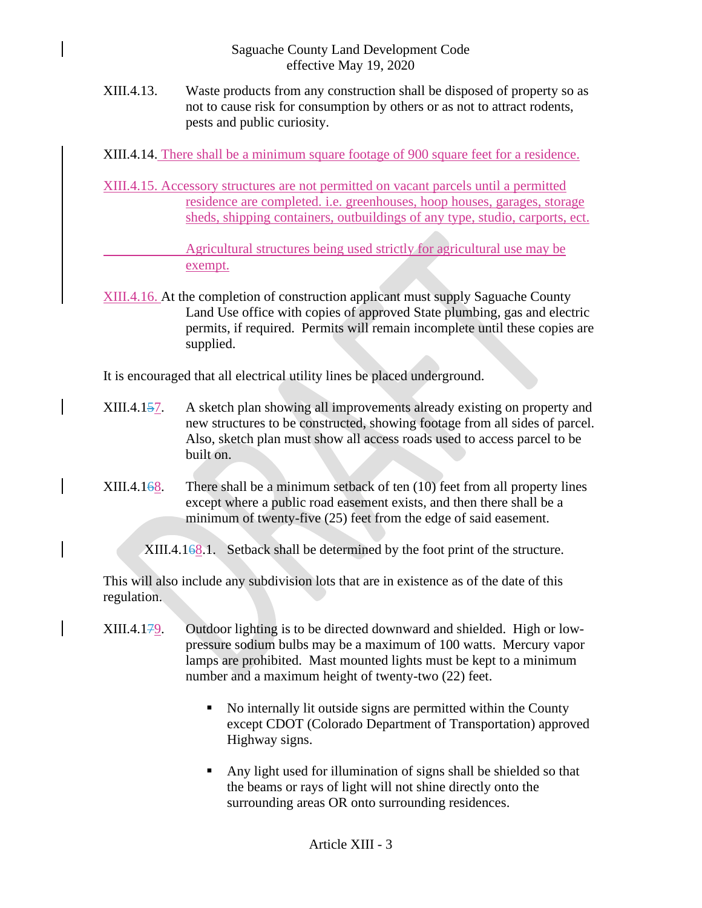XIII.4.13. Waste products from any construction shall be disposed of property so as not to cause risk for consumption by others or as not to attract rodents, pests and public curiosity.

XIII.4.14. There shall be a minimum square footage of 900 square feet for a residence.

XIII.4.15. Accessory structures are not permitted on vacant parcels until a permitted residence are completed. i.e. greenhouses, hoop houses, garages, storage sheds, shipping containers, outbuildings of any type, studio, carports, ect.

> Agricultural structures being used strictly for agricultural use may be exempt.

XIII.4.16. At the completion of construction applicant must supply Saguache County Land Use office with copies of approved State plumbing, gas and electric permits, if required. Permits will remain incomplete until these copies are supplied.

It is encouraged that all electrical utility lines be placed underground.

- XIII.4.157. A sketch plan showing all improvements already existing on property and new structures to be constructed, showing footage from all sides of parcel. Also, sketch plan must show all access roads used to access parcel to be built on.
- XIII.4.168. There shall be a minimum setback of ten (10) feet from all property lines except where a public road easement exists, and then there shall be a minimum of twenty-five (25) feet from the edge of said easement.

XIII.4.168.1. Setback shall be determined by the foot print of the structure.

This will also include any subdivision lots that are in existence as of the date of this regulation.

- XIII.4.179. Outdoor lighting is to be directed downward and shielded. High or lowpressure sodium bulbs may be a maximum of 100 watts. Mercury vapor lamps are prohibited. Mast mounted lights must be kept to a minimum number and a maximum height of twenty-two (22) feet.
	- No internally lit outside signs are permitted within the County except CDOT (Colorado Department of Transportation) approved Highway signs.
	- Any light used for illumination of signs shall be shielded so that the beams or rays of light will not shine directly onto the surrounding areas OR onto surrounding residences.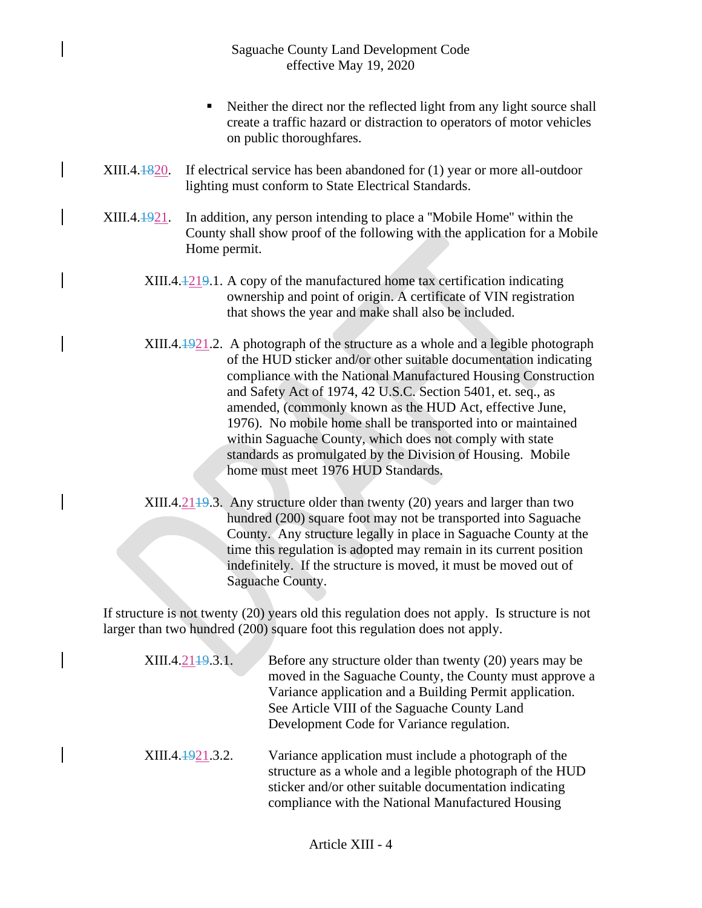- Neither the direct nor the reflected light from any light source shall create a traffic hazard or distraction to operators of motor vehicles on public thoroughfares.
- XIII.4.1820. If electrical service has been abandoned for (1) year or more all-outdoor lighting must conform to State Electrical Standards.
- XIII.4.1921. In addition, any person intending to place a ''Mobile Home'' within the County shall show proof of the following with the application for a Mobile Home permit.
	- XIII.4.1219.1. A copy of the manufactured home tax certification indicating ownership and point of origin. A certificate of VIN registration that shows the year and make shall also be included.
	- XIII.4.1921.2. A photograph of the structure as a whole and a legible photograph of the HUD sticker and/or other suitable documentation indicating compliance with the National Manufactured Housing Construction and Safety Act of 1974, 42 U.S.C. Section 5401, et. seq., as amended, (commonly known as the HUD Act, effective June, 1976). No mobile home shall be transported into or maintained within Saguache County, which does not comply with state standards as promulgated by the Division of Housing. Mobile home must meet 1976 HUD Standards.
	- $XIII.4.2149.3$ . Any structure older than twenty (20) years and larger than two hundred (200) square foot may not be transported into Saguache County. Any structure legally in place in Saguache County at the time this regulation is adopted may remain in its current position indefinitely. If the structure is moved, it must be moved out of Saguache County.

If structure is not twenty (20) years old this regulation does not apply. Is structure is not larger than two hundred (200) square foot this regulation does not apply.

| XIII.4.21 <del>19</del> .3.1. | Before any structure older than twenty (20) years may be<br>moved in the Saguache County, the County must approve a<br>Variance application and a Building Permit application.<br>See Article VIII of the Saguache County Land<br>Development Code for Variance regulation. |
|-------------------------------|-----------------------------------------------------------------------------------------------------------------------------------------------------------------------------------------------------------------------------------------------------------------------------|
| XIII.4.1921.3.2.              | Variance application must include a photograph of the<br>structure as a whole and a legible photograph of the HUD<br>sticker and/or other suitable documentation indicating<br>compliance with the National Manufactured Housing                                            |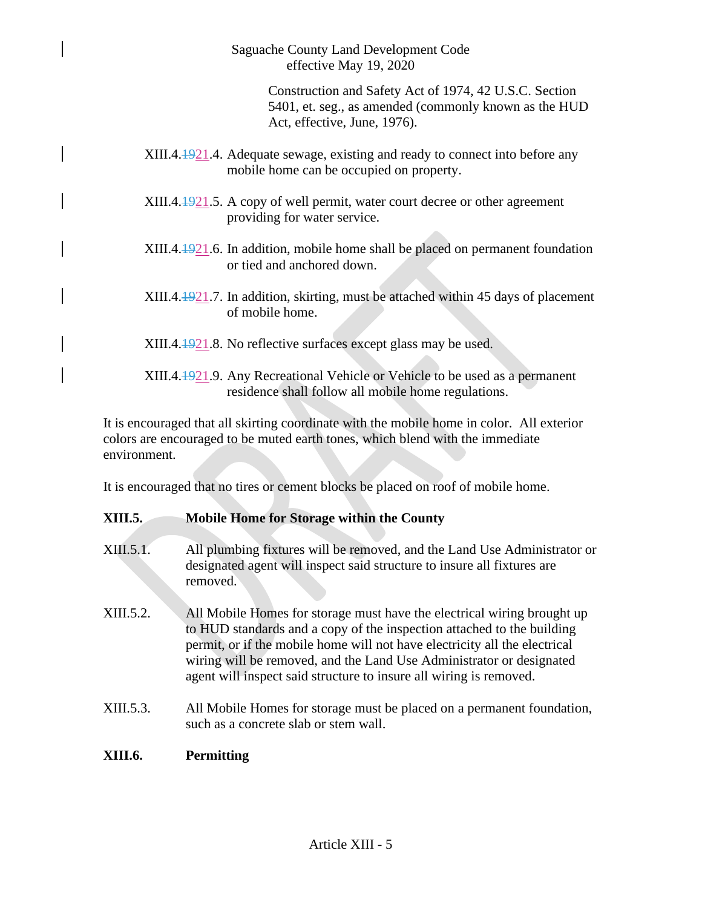Saguache County Land Development Code effective May 19, 2020

> Construction and Safety Act of 1974, 42 U.S.C. Section 5401, et. seg., as amended (commonly known as the HUD Act, effective, June, 1976).

- XIII.4.1921.4. Adequate sewage, existing and ready to connect into before any mobile home can be occupied on property.
- XIII.4.1921.5. A copy of well permit, water court decree or other agreement providing for water service.
- $XIII.4.1921.6.$  In addition, mobile home shall be placed on permanent foundation or tied and anchored down.
- XIII.4.1921.7. In addition, skirting, must be attached within 45 days of placement of mobile home.
- XIII.4.1921.8. No reflective surfaces except glass may be used.
- XIII.4.1921.9. Any Recreational Vehicle or Vehicle to be used as a permanent residence shall follow all mobile home regulations.

It is encouraged that all skirting coordinate with the mobile home in color. All exterior colors are encouraged to be muted earth tones, which blend with the immediate environment.

It is encouraged that no tires or cement blocks be placed on roof of mobile home.

## **XIII.5. Mobile Home for Storage within the County**

- XIII.5.1. All plumbing fixtures will be removed, and the Land Use Administrator or designated agent will inspect said structure to insure all fixtures are removed.
- XIII.5.2. All Mobile Homes for storage must have the electrical wiring brought up to HUD standards and a copy of the inspection attached to the building permit, or if the mobile home will not have electricity all the electrical wiring will be removed, and the Land Use Administrator or designated agent will inspect said structure to insure all wiring is removed.
- XIII.5.3. All Mobile Homes for storage must be placed on a permanent foundation, such as a concrete slab or stem wall.

# **XIII.6. Permitting**